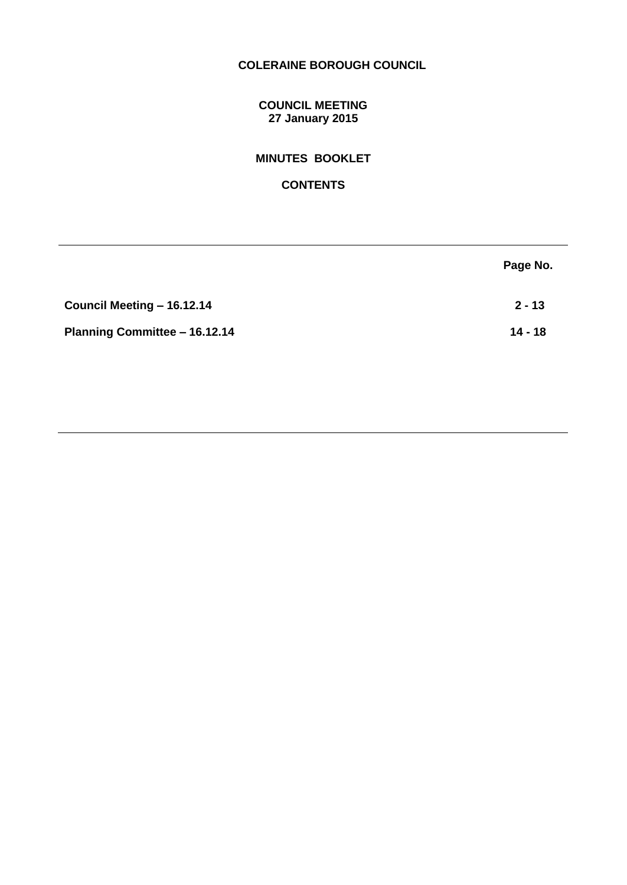# **COLERAINE BOROUGH COUNCIL**

# **COUNCIL MEETING 27 January 2015**

# **MINUTES BOOKLET**

# **CONTENTS**

|                               | Page No.  |
|-------------------------------|-----------|
| Council Meeting - 16.12.14    | $2 - 13$  |
| Planning Committee - 16.12.14 | $14 - 18$ |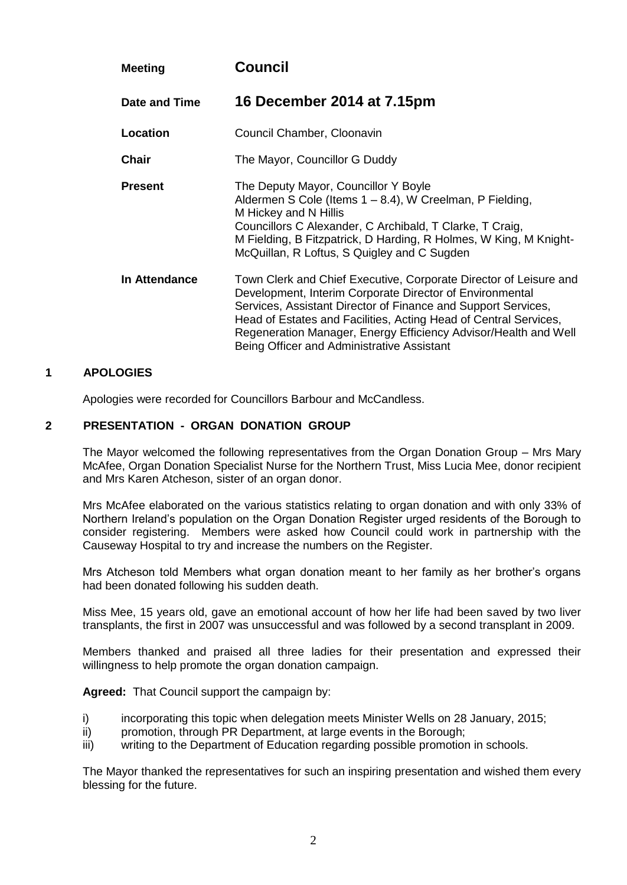| <b>Meeting</b> | <b>Council</b>                                                                                                                                                                                                                                                                                                                                                                      |
|----------------|-------------------------------------------------------------------------------------------------------------------------------------------------------------------------------------------------------------------------------------------------------------------------------------------------------------------------------------------------------------------------------------|
| Date and Time  | 16 December 2014 at 7.15pm                                                                                                                                                                                                                                                                                                                                                          |
| Location       | Council Chamber, Cloonavin                                                                                                                                                                                                                                                                                                                                                          |
| <b>Chair</b>   | The Mayor, Councillor G Duddy                                                                                                                                                                                                                                                                                                                                                       |
| <b>Present</b> | The Deputy Mayor, Councillor Y Boyle<br>Aldermen S Cole (Items 1 – 8.4), W Creelman, P Fielding,<br>M Hickey and N Hillis<br>Councillors C Alexander, C Archibald, T Clarke, T Craig,<br>M Fielding, B Fitzpatrick, D Harding, R Holmes, W King, M Knight-<br>McQuillan, R Loftus, S Quigley and C Sugden                                                                           |
| In Attendance  | Town Clerk and Chief Executive, Corporate Director of Leisure and<br>Development, Interim Corporate Director of Environmental<br>Services, Assistant Director of Finance and Support Services,<br>Head of Estates and Facilities, Acting Head of Central Services,<br>Regeneration Manager, Energy Efficiency Advisor/Health and Well<br>Being Officer and Administrative Assistant |

# **1 APOLOGIES**

Apologies were recorded for Councillors Barbour and McCandless.

# **2 PRESENTATION - ORGAN DONATION GROUP**

The Mayor welcomed the following representatives from the Organ Donation Group – Mrs Mary McAfee, Organ Donation Specialist Nurse for the Northern Trust, Miss Lucia Mee, donor recipient and Mrs Karen Atcheson, sister of an organ donor.

Mrs McAfee elaborated on the various statistics relating to organ donation and with only 33% of Northern Ireland's population on the Organ Donation Register urged residents of the Borough to consider registering. Members were asked how Council could work in partnership with the Causeway Hospital to try and increase the numbers on the Register.

Mrs Atcheson told Members what organ donation meant to her family as her brother's organs had been donated following his sudden death.

Miss Mee, 15 years old, gave an emotional account of how her life had been saved by two liver transplants, the first in 2007 was unsuccessful and was followed by a second transplant in 2009.

Members thanked and praised all three ladies for their presentation and expressed their willingness to help promote the organ donation campaign.

**Agreed:** That Council support the campaign by:

- i) incorporating this topic when delegation meets Minister Wells on 28 January, 2015;
- ii) promotion, through PR Department, at large events in the Borough;
- iii) writing to the Department of Education regarding possible promotion in schools.

The Mayor thanked the representatives for such an inspiring presentation and wished them every blessing for the future.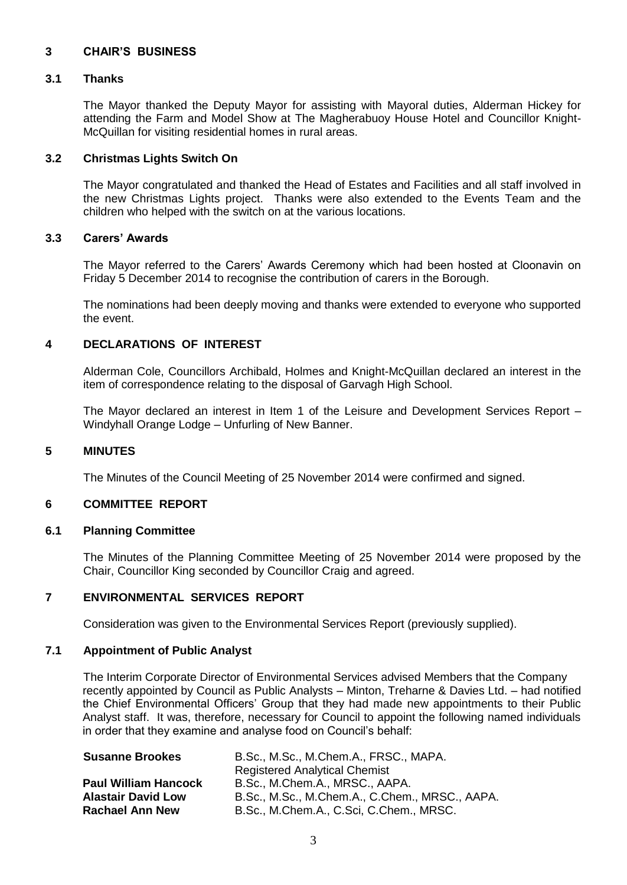# **3 CHAIR'S BUSINESS**

### **3.1 Thanks**

The Mayor thanked the Deputy Mayor for assisting with Mayoral duties, Alderman Hickey for attending the Farm and Model Show at The Magherabuoy House Hotel and Councillor Knight-McQuillan for visiting residential homes in rural areas.

### **3.2 Christmas Lights Switch On**

The Mayor congratulated and thanked the Head of Estates and Facilities and all staff involved in the new Christmas Lights project. Thanks were also extended to the Events Team and the children who helped with the switch on at the various locations.

### **3.3 Carers' Awards**

The Mayor referred to the Carers' Awards Ceremony which had been hosted at Cloonavin on Friday 5 December 2014 to recognise the contribution of carers in the Borough.

The nominations had been deeply moving and thanks were extended to everyone who supported the event.

# **4 DECLARATIONS OF INTEREST**

Alderman Cole, Councillors Archibald, Holmes and Knight-McQuillan declared an interest in the item of correspondence relating to the disposal of Garvagh High School.

The Mayor declared an interest in Item 1 of the Leisure and Development Services Report – Windyhall Orange Lodge – Unfurling of New Banner.

#### **5 MINUTES**

The Minutes of the Council Meeting of 25 November 2014 were confirmed and signed.

# **6 COMMITTEE REPORT**

#### **6.1 Planning Committee**

The Minutes of the Planning Committee Meeting of 25 November 2014 were proposed by the Chair, Councillor King seconded by Councillor Craig and agreed.

# **7 ENVIRONMENTAL SERVICES REPORT**

Consideration was given to the Environmental Services Report (previously supplied).

# **7.1 Appointment of Public Analyst**

The Interim Corporate Director of Environmental Services advised Members that the Company recently appointed by Council as Public Analysts – Minton, Treharne & Davies Ltd. – had notified the Chief Environmental Officers' Group that they had made new appointments to their Public Analyst staff. It was, therefore, necessary for Council to appoint the following named individuals in order that they examine and analyse food on Council's behalf:

| <b>Susanne Brookes</b>      | B.Sc., M.Sc., M.Chem.A., FRSC., MAPA.          |  |
|-----------------------------|------------------------------------------------|--|
|                             | <b>Registered Analytical Chemist</b>           |  |
| <b>Paul William Hancock</b> | B.Sc., M.Chem.A., MRSC., AAPA.                 |  |
| <b>Alastair David Low</b>   | B.Sc., M.Sc., M.Chem.A., C.Chem., MRSC., AAPA. |  |
| <b>Rachael Ann New</b>      | B.Sc., M.Chem.A., C.Sci, C.Chem., MRSC.        |  |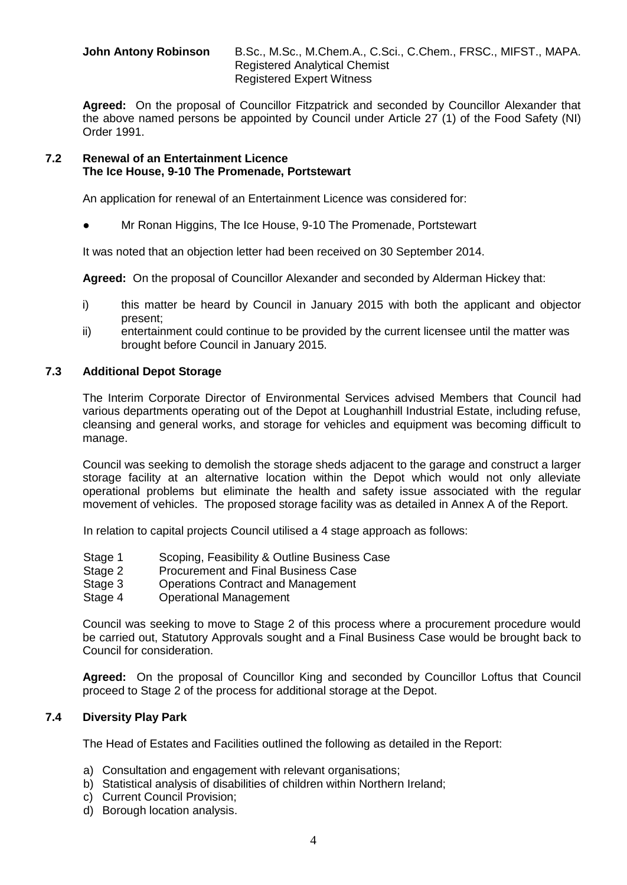**John Antony Robinson** B.Sc., M.Sc., M.Chem.A., C.Sci., C.Chem., FRSC., MIFST., MAPA. Registered Analytical Chemist Registered Expert Witness

**Agreed:** On the proposal of Councillor Fitzpatrick and seconded by Councillor Alexander that the above named persons be appointed by Council under Article 27 (1) of the Food Safety (NI) Order 1991.

### **7.2 Renewal of an Entertainment Licence The Ice House, 9-10 The Promenade, Portstewart**

An application for renewal of an Entertainment Licence was considered for:

Mr Ronan Higgins, The Ice House, 9-10 The Promenade, Portstewart

It was noted that an objection letter had been received on 30 September 2014.

**Agreed:** On the proposal of Councillor Alexander and seconded by Alderman Hickey that:

- i) this matter be heard by Council in January 2015 with both the applicant and objector present;
- ii) entertainment could continue to be provided by the current licensee until the matter was brought before Council in January 2015.

# **7.3 Additional Depot Storage**

The Interim Corporate Director of Environmental Services advised Members that Council had various departments operating out of the Depot at Loughanhill Industrial Estate, including refuse, cleansing and general works, and storage for vehicles and equipment was becoming difficult to manage.

Council was seeking to demolish the storage sheds adjacent to the garage and construct a larger storage facility at an alternative location within the Depot which would not only alleviate operational problems but eliminate the health and safety issue associated with the regular movement of vehicles. The proposed storage facility was as detailed in Annex A of the Report.

In relation to capital projects Council utilised a 4 stage approach as follows:

- Stage 1 Scoping, Feasibility & Outline Business Case
- Stage 2 Procurement and Final Business Case
- Stage 3 Operations Contract and Management
- Stage 4 Operational Management

Council was seeking to move to Stage 2 of this process where a procurement procedure would be carried out, Statutory Approvals sought and a Final Business Case would be brought back to Council for consideration.

**Agreed:** On the proposal of Councillor King and seconded by Councillor Loftus that Council proceed to Stage 2 of the process for additional storage at the Depot.

# **7.4 Diversity Play Park**

The Head of Estates and Facilities outlined the following as detailed in the Report:

- a) Consultation and engagement with relevant organisations;
- b) Statistical analysis of disabilities of children within Northern Ireland;
- c) Current Council Provision;
- d) Borough location analysis.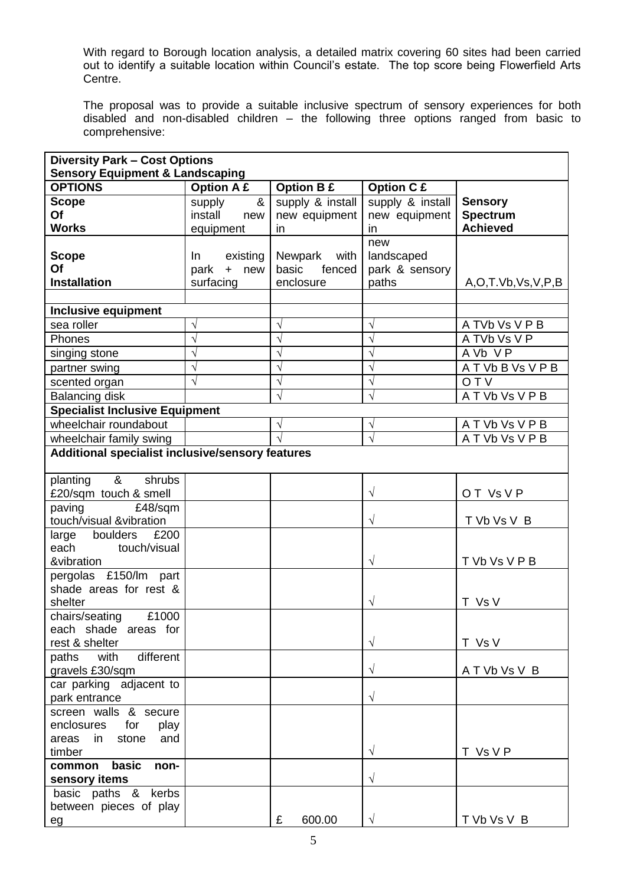With regard to Borough location analysis, a detailed matrix covering 60 sites had been carried out to identify a suitable location within Council's estate. The top score being Flowerfield Arts Centre.

The proposal was to provide a suitable inclusive spectrum of sensory experiences for both disabled and non-disabled children – the following three options ranged from basic to comprehensive:

| <b>Diversity Park - Cost Options</b>             |                    |                   |                   |                         |
|--------------------------------------------------|--------------------|-------------------|-------------------|-------------------------|
| <b>Sensory Equipment &amp; Landscaping</b>       |                    |                   |                   |                         |
| <b>OPTIONS</b>                                   | <b>Option A £</b>  | <b>Option B £</b> | <b>Option C £</b> |                         |
| <b>Scope</b>                                     | supply<br>&        | supply & install  | supply & install  | <b>Sensory</b>          |
| Of                                               | install<br>new     | new equipment     | new equipment     | <b>Spectrum</b>         |
| <b>Works</b>                                     | equipment          | in                | in                | <b>Achieved</b>         |
|                                                  |                    |                   | new               |                         |
| <b>Scope</b>                                     | existing<br>In     | Newpark<br>with   | landscaped        |                         |
| Of                                               | park<br>$+$<br>new | basic<br>fenced   | park & sensory    |                         |
| <b>Installation</b>                              | surfacing          | enclosure         | paths             | A, O, T.Vb, Vs, V, P, B |
|                                                  |                    |                   |                   |                         |
| <b>Inclusive equipment</b>                       |                    |                   |                   |                         |
| sea roller                                       | V                  |                   | V                 | A TVb Vs V P B          |
| Phones                                           | $\sqrt{2}$         |                   | $\sqrt{}$         | A TVb Vs V P            |
| singing stone                                    | $\sqrt{}$          | V                 | $\sqrt{ }$        | A Vb VP                 |
| partner swing                                    | V                  |                   | $\sqrt{}$         | ATVbBVsVPB              |
| scented organ                                    | N                  | V                 | V                 | <b>OTV</b>              |
| <b>Balancing disk</b>                            |                    |                   | $\sqrt{}$         | ATVbVsVPB               |
| <b>Specialist Inclusive Equipment</b>            |                    |                   |                   |                         |
| wheelchair roundabout                            |                    | V                 | V                 | ATVbVsVPB               |
| wheelchair family swing                          |                    |                   | $\mathcal{L}$     | ATVbVsVPB               |
| Additional specialist inclusive/sensory features |                    |                   |                   |                         |
| &<br>shrubs<br>planting                          |                    |                   |                   |                         |
| £20/sqm touch & smell                            |                    |                   | $\sqrt{}$         | OT Vs V P               |
| paving<br>£48/sqm                                |                    |                   |                   |                         |
| touch/visual &vibration                          |                    |                   | $\sqrt{}$         | T Vb Vs V B             |
| £200<br>boulders<br>large                        |                    |                   |                   |                         |
| touch/visual<br>each                             |                    |                   |                   |                         |
| &vibration                                       |                    |                   | $\sqrt{}$         | T Vb Vs V P B           |
| pergolas £150/lm part                            |                    |                   |                   |                         |
| shade areas for rest &                           |                    |                   |                   |                         |
| shelter                                          |                    |                   | $\sqrt{}$         | T Vs V                  |
| £1000<br>chairs/seating                          |                    |                   |                   |                         |
| each shade areas for                             |                    |                   |                   |                         |
| rest & shelter                                   |                    |                   | $\sqrt{}$         | T Vs V                  |
| with<br>different<br>paths                       |                    |                   |                   |                         |
| gravels £30/sqm                                  |                    |                   | $\sqrt{}$         | A T Vb Vs V B           |
| car parking adjacent to                          |                    |                   |                   |                         |
| park entrance                                    |                    |                   | $\sqrt{}$         |                         |
| screen walls & secure                            |                    |                   |                   |                         |
| enclosures<br>for<br>play                        |                    |                   |                   |                         |
| in<br>stone<br>areas<br>and                      |                    |                   |                   |                         |
| timber                                           |                    |                   | $\sqrt{}$         | T Vs V P                |
| common basic<br>non-<br>sensory items            |                    |                   | $\sqrt{}$         |                         |
| basic paths & kerbs                              |                    |                   |                   |                         |
| between pieces of play                           |                    |                   |                   |                         |
| eg                                               |                    | 600.00<br>£       | $\sqrt{}$         | T Vb Vs V B             |
|                                                  |                    |                   |                   |                         |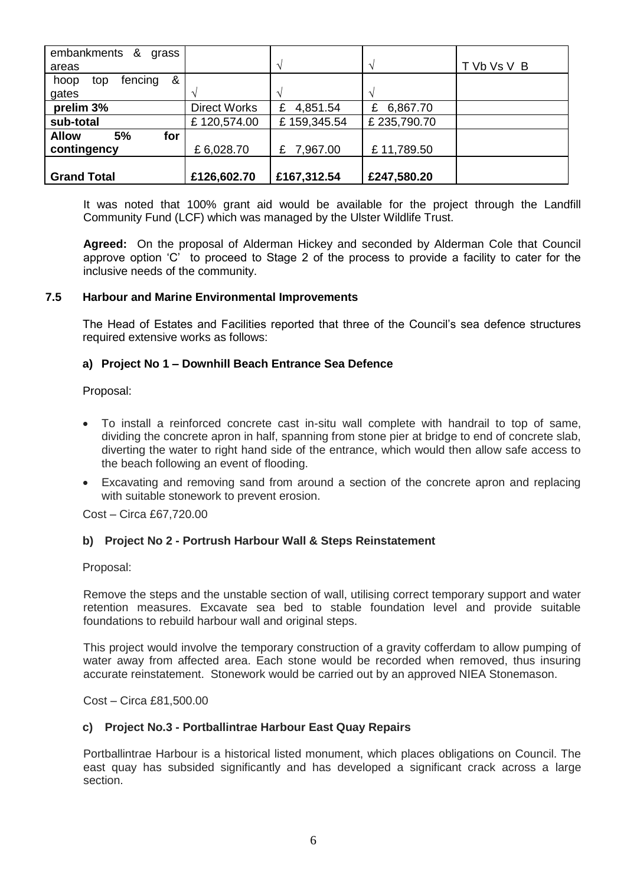| embankments &<br>grass      |                     |               |               |             |
|-----------------------------|---------------------|---------------|---------------|-------------|
| areas                       |                     |               | $\gamma$      | T Vb Vs V B |
| &<br>fencing<br>hoop<br>top |                     |               |               |             |
| gates                       |                     |               | $\Delta$      |             |
| prelim 3%                   | <b>Direct Works</b> | 4,851.54<br>£ | 6,867.70<br>£ |             |
| sub-total                   | £120,574.00         | £159,345.54   | £235,790.70   |             |
| <b>Allow</b><br>5%<br>for   |                     |               |               |             |
| contingency                 | £6,028.70           | £ 7,967.00    | £11,789.50    |             |
|                             |                     |               |               |             |
| <b>Grand Total</b>          | £126,602.70         | £167,312.54   | £247,580.20   |             |

It was noted that 100% grant aid would be available for the project through the Landfill Community Fund (LCF) which was managed by the Ulster Wildlife Trust.

**Agreed:** On the proposal of Alderman Hickey and seconded by Alderman Cole that Council approve option 'C' to proceed to Stage 2 of the process to provide a facility to cater for the inclusive needs of the community.

# **7.5 Harbour and Marine Environmental Improvements**

The Head of Estates and Facilities reported that three of the Council's sea defence structures required extensive works as follows:

# **a) Project No 1 – Downhill Beach Entrance Sea Defence**

Proposal:

- To install a reinforced concrete cast in-situ wall complete with handrail to top of same, dividing the concrete apron in half, spanning from stone pier at bridge to end of concrete slab, diverting the water to right hand side of the entrance, which would then allow safe access to the beach following an event of flooding.
- Excavating and removing sand from around a section of the concrete apron and replacing with suitable stonework to prevent erosion.

Cost – Circa £67,720.00

# **b) Project No 2 - Portrush Harbour Wall & Steps Reinstatement**

Proposal:

Remove the steps and the unstable section of wall, utilising correct temporary support and water retention measures. Excavate sea bed to stable foundation level and provide suitable foundations to rebuild harbour wall and original steps.

This project would involve the temporary construction of a gravity cofferdam to allow pumping of water away from affected area. Each stone would be recorded when removed, thus insuring accurate reinstatement. Stonework would be carried out by an approved NIEA Stonemason.

Cost – Circa £81,500.00

# **c) Project No.3 - Portballintrae Harbour East Quay Repairs**

Portballintrae Harbour is a historical listed monument, which places obligations on Council. The east quay has subsided significantly and has developed a significant crack across a large section.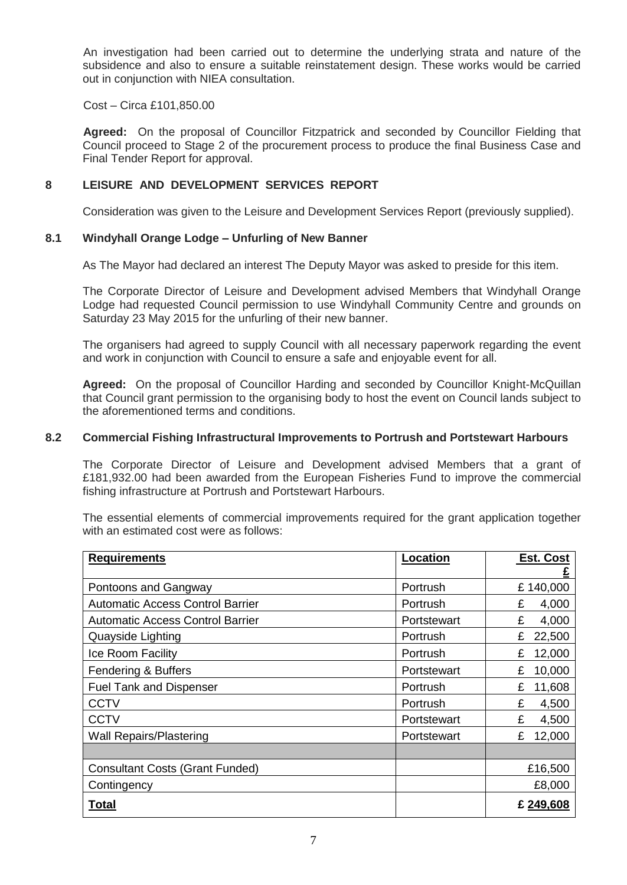An investigation had been carried out to determine the underlying strata and nature of the subsidence and also to ensure a suitable reinstatement design. These works would be carried out in conjunction with NIEA consultation.

Cost – Circa £101,850.00

**Agreed:** On the proposal of Councillor Fitzpatrick and seconded by Councillor Fielding that Council proceed to Stage 2 of the procurement process to produce the final Business Case and Final Tender Report for approval.

# **8 LEISURE AND DEVELOPMENT SERVICES REPORT**

Consideration was given to the Leisure and Development Services Report (previously supplied).

# **8.1 Windyhall Orange Lodge – Unfurling of New Banner**

As The Mayor had declared an interest The Deputy Mayor was asked to preside for this item.

The Corporate Director of Leisure and Development advised Members that Windyhall Orange Lodge had requested Council permission to use Windyhall Community Centre and grounds on Saturday 23 May 2015 for the unfurling of their new banner.

The organisers had agreed to supply Council with all necessary paperwork regarding the event and work in conjunction with Council to ensure a safe and enjoyable event for all.

**Agreed:** On the proposal of Councillor Harding and seconded by Councillor Knight-McQuillan that Council grant permission to the organising body to host the event on Council lands subject to the aforementioned terms and conditions.

### **8.2 Commercial Fishing Infrastructural Improvements to Portrush and Portstewart Harbours**

The Corporate Director of Leisure and Development advised Members that a grant of £181,932.00 had been awarded from the European Fisheries Fund to improve the commercial fishing infrastructure at Portrush and Portstewart Harbours.

The essential elements of commercial improvements required for the grant application together with an estimated cost were as follows:

| <b>Requirements</b>                     | Location    | <b>Est. Cost</b> |
|-----------------------------------------|-------------|------------------|
|                                         |             |                  |
| Pontoons and Gangway                    | Portrush    | £140,000         |
| <b>Automatic Access Control Barrier</b> | Portrush    | 4,000<br>£       |
| <b>Automatic Access Control Barrier</b> | Portstewart | £<br>4,000       |
| Quayside Lighting                       | Portrush    | £<br>22,500      |
| <b>Ice Room Facility</b>                | Portrush    | 12,000<br>£      |
| Fendering & Buffers                     | Portstewart | 10,000<br>£      |
| <b>Fuel Tank and Dispenser</b>          | Portrush    | 11,608<br>£      |
| <b>CCTV</b>                             | Portrush    | £<br>4,500       |
| <b>CCTV</b>                             | Portstewart | £<br>4,500       |
| <b>Wall Repairs/Plastering</b>          | Portstewart | 12,000<br>£      |
|                                         |             |                  |
| <b>Consultant Costs (Grant Funded)</b>  |             | £16,500          |
| Contingency                             |             | £8,000           |
| Total                                   |             | £249,608         |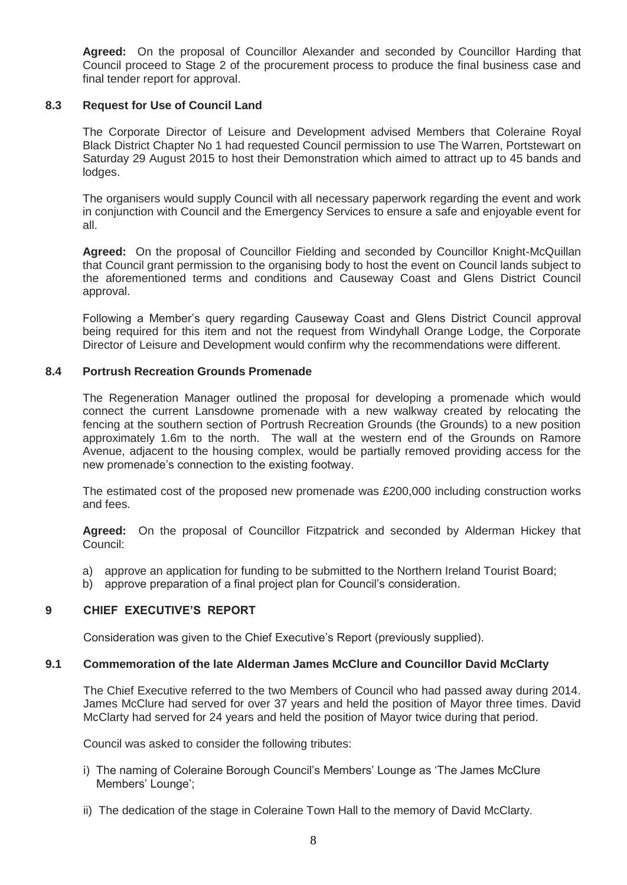**Agreed:** On the proposal of Councillor Alexander and seconded by Councillor Harding that Council proceed to Stage 2 of the procurement process to produce the final business case and final tender report for approval.

### **8.3 Request for Use of Council Land**

The Corporate Director of Leisure and Development advised Members that Coleraine Royal Black District Chapter No 1 had requested Council permission to use The Warren, Portstewart on Saturday 29 August 2015 to host their Demonstration which aimed to attract up to 45 bands and lodges.

The organisers would supply Council with all necessary paperwork regarding the event and work in conjunction with Council and the Emergency Services to ensure a safe and enjoyable event for all.

**Agreed:** On the proposal of Councillor Fielding and seconded by Councillor Knight-McQuillan that Council grant permission to the organising body to host the event on Council lands subject to the aforementioned terms and conditions and Causeway Coast and Glens District Council approval.

Following a Member's query regarding Causeway Coast and Glens District Council approval being required for this item and not the request from Windyhall Orange Lodge, the Corporate Director of Leisure and Development would confirm why the recommendations were different.

# **8.4 Portrush Recreation Grounds Promenade**

The Regeneration Manager outlined the proposal for developing a promenade which would connect the current Lansdowne promenade with a new walkway created by relocating the fencing at the southern section of Portrush Recreation Grounds (the Grounds) to a new position approximately 1.6m to the north. The wall at the western end of the Grounds on Ramore Avenue, adjacent to the housing complex, would be partially removed providing access for the new promenade's connection to the existing footway.

The estimated cost of the proposed new promenade was £200,000 including construction works and fees.

**Agreed:** On the proposal of Councillor Fitzpatrick and seconded by Alderman Hickey that Council:

- a) approve an application for funding to be submitted to the Northern Ireland Tourist Board;
- b) approve preparation of a final project plan for Council's consideration.

# **9 CHIEF EXECUTIVE'S REPORT**

Consideration was given to the Chief Executive's Report (previously supplied).

#### **9.1 Commemoration of the late Alderman James McClure and Councillor David McClarty**

The Chief Executive referred to the two Members of Council who had passed away during 2014. James McClure had served for over 37 years and held the position of Mayor three times. David McClarty had served for 24 years and held the position of Mayor twice during that period.

Council was asked to consider the following tributes:

- i) The naming of Coleraine Borough Council's Members' Lounge as 'The James McClure Members' Lounge';
- ii) The dedication of the stage in Coleraine Town Hall to the memory of David McClarty.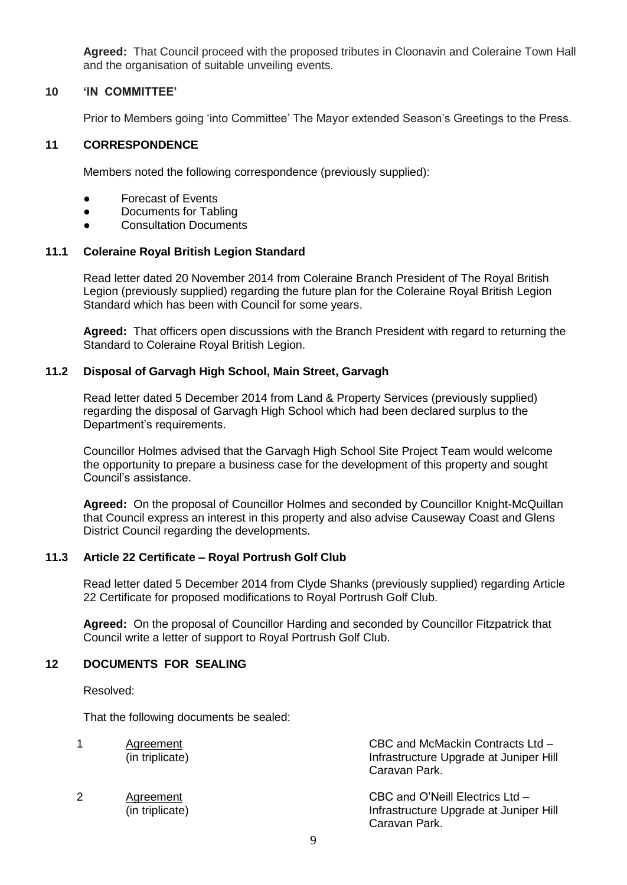**Agreed:** That Council proceed with the proposed tributes in Cloonavin and Coleraine Town Hall and the organisation of suitable unveiling events.

#### **10 'IN COMMITTEE'**

Prior to Members going 'into Committee' The Mayor extended Season's Greetings to the Press.

### **11 CORRESPONDENCE**

Members noted the following correspondence (previously supplied):

- Forecast of Events
- Documents for Tabling
- Consultation Documents

#### **11.1 Coleraine Royal British Legion Standard**

Read letter dated 20 November 2014 from Coleraine Branch President of The Royal British Legion (previously supplied) regarding the future plan for the Coleraine Royal British Legion Standard which has been with Council for some years.

**Agreed:** That officers open discussions with the Branch President with regard to returning the Standard to Coleraine Royal British Legion.

#### **11.2 Disposal of Garvagh High School, Main Street, Garvagh**

Read letter dated 5 December 2014 from Land & Property Services (previously supplied) regarding the disposal of Garvagh High School which had been declared surplus to the Department's requirements.

Councillor Holmes advised that the Garvagh High School Site Project Team would welcome the opportunity to prepare a business case for the development of this property and sought Council's assistance.

**Agreed:** On the proposal of Councillor Holmes and seconded by Councillor Knight-McQuillan that Council express an interest in this property and also advise Causeway Coast and Glens District Council regarding the developments.

# **11.3 Article 22 Certificate – Royal Portrush Golf Club**

Read letter dated 5 December 2014 from Clyde Shanks (previously supplied) regarding Article 22 Certificate for proposed modifications to Royal Portrush Golf Club.

**Agreed:** On the proposal of Councillor Harding and seconded by Councillor Fitzpatrick that Council write a letter of support to Royal Portrush Golf Club.

# **12 DOCUMENTS FOR SEALING**

Resolved:

That the following documents be sealed:

|   | Agreement<br>(in triplicate) | CBC and McMackin Contracts Ltd -<br>Infrastructure Upgrade at Juniper Hill<br>Caravan Park. |
|---|------------------------------|---------------------------------------------------------------------------------------------|
| 2 | Agreement<br>(in triplicate) | CBC and O'Neill Electrics Ltd -<br>Infrastructure Upgrade at Juniper Hill<br>Caravan Park.  |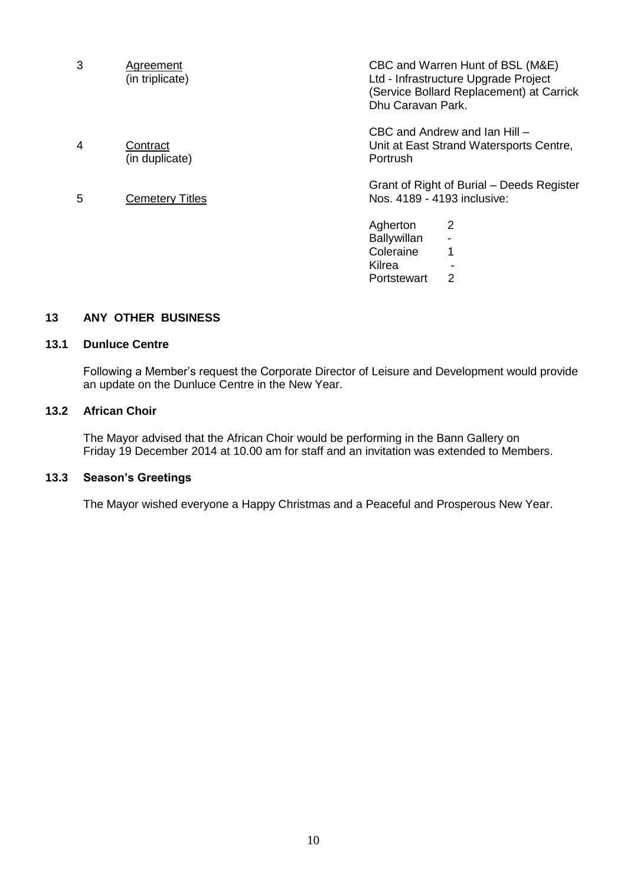| 3 | Agreement<br>(in triplicate) | CBC and Warren Hunt of BSL (M&E)<br>Ltd - Infrastructure Upgrade Project<br>(Service Bollard Replacement) at Carrick<br>Dhu Caravan Park. |
|---|------------------------------|-------------------------------------------------------------------------------------------------------------------------------------------|
|   |                              | CBC and Andrew and Ian Hill -                                                                                                             |
| 4 | Contract<br>(in duplicate)   | Unit at East Strand Watersports Centre,<br>Portrush                                                                                       |
| 5 | <b>Cemetery Titles</b>       | Grant of Right of Burial – Deeds Register<br>Nos. 4189 - 4193 inclusive:                                                                  |
|   |                              | $\overline{2}$<br>Agherton                                                                                                                |
|   |                              | <b>Ballywillan</b>                                                                                                                        |
|   |                              | Coleraine<br>1                                                                                                                            |
|   |                              | Kilrea                                                                                                                                    |
|   |                              | 2<br>Portstewart                                                                                                                          |
|   |                              |                                                                                                                                           |

# **13 ANY OTHER BUSINESS**

#### **13.1 Dunluce Centre**

Following a Member's request the Corporate Director of Leisure and Development would provide an update on the Dunluce Centre in the New Year.

# **13.2 African Choir**

The Mayor advised that the African Choir would be performing in the Bann Gallery on Friday 19 December 2014 at 10.00 am for staff and an invitation was extended to Members.

# **13.3 Season's Greetings**

The Mayor wished everyone a Happy Christmas and a Peaceful and Prosperous New Year.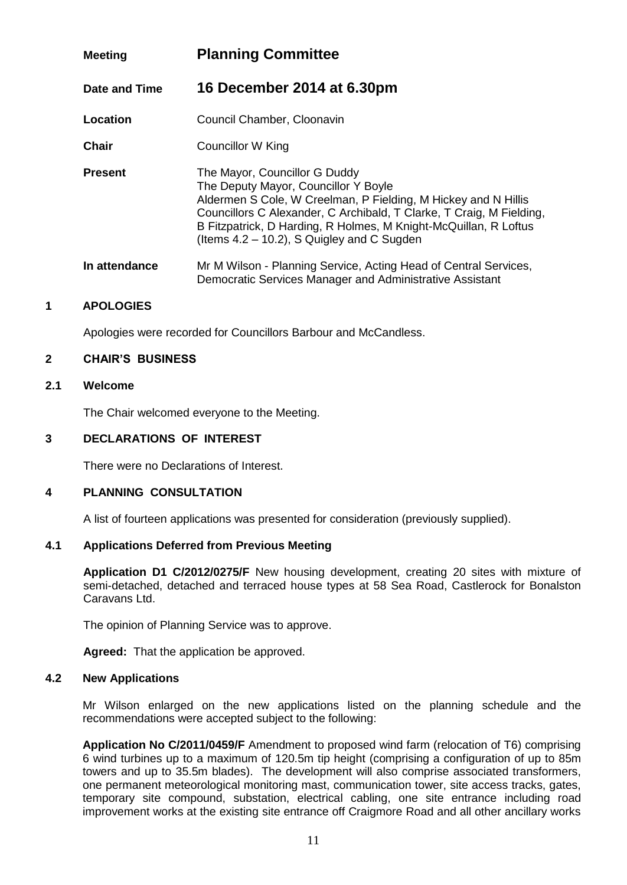# **Meeting Planning Committee Date and Time 16 December 2014 at 6.30pm Location Council Chamber, Cloonavin Chair** Councillor W King **Present** The Mayor, Councillor G Duddy The Deputy Mayor, Councillor Y Boyle Aldermen S Cole, W Creelman, P Fielding, M Hickey and N Hillis Councillors C Alexander, C Archibald, T Clarke, T Craig, M Fielding, B Fitzpatrick, D Harding, R Holmes, M Knight-McQuillan, R Loftus (Items 4.2 – 10.2), S Quigley and C Sugden

# **In attendance** Mr M Wilson - Planning Service, Acting Head of Central Services, Democratic Services Manager and Administrative Assistant

# **1 APOLOGIES**

Apologies were recorded for Councillors Barbour and McCandless.

# **2 CHAIR'S BUSINESS**

# **2.1 Welcome**

The Chair welcomed everyone to the Meeting.

# **3 DECLARATIONS OF INTEREST**

There were no Declarations of Interest.

# **4 PLANNING CONSULTATION**

A list of fourteen applications was presented for consideration (previously supplied).

# **4.1 Applications Deferred from Previous Meeting**

**Application D1 C/2012/0275/F** New housing development, creating 20 sites with mixture of semi-detached, detached and terraced house types at 58 Sea Road, Castlerock for Bonalston Caravans Ltd.

The opinion of Planning Service was to approve.

**Agreed:** That the application be approved.

# **4.2 New Applications**

Mr Wilson enlarged on the new applications listed on the planning schedule and the recommendations were accepted subject to the following:

**Application No C/2011/0459/F** Amendment to proposed wind farm (relocation of T6) comprising 6 wind turbines up to a maximum of 120.5m tip height (comprising a configuration of up to 85m towers and up to 35.5m blades). The development will also comprise associated transformers, one permanent meteorological monitoring mast, communication tower, site access tracks, gates, temporary site compound, substation, electrical cabling, one site entrance including road improvement works at the existing site entrance off Craigmore Road and all other ancillary works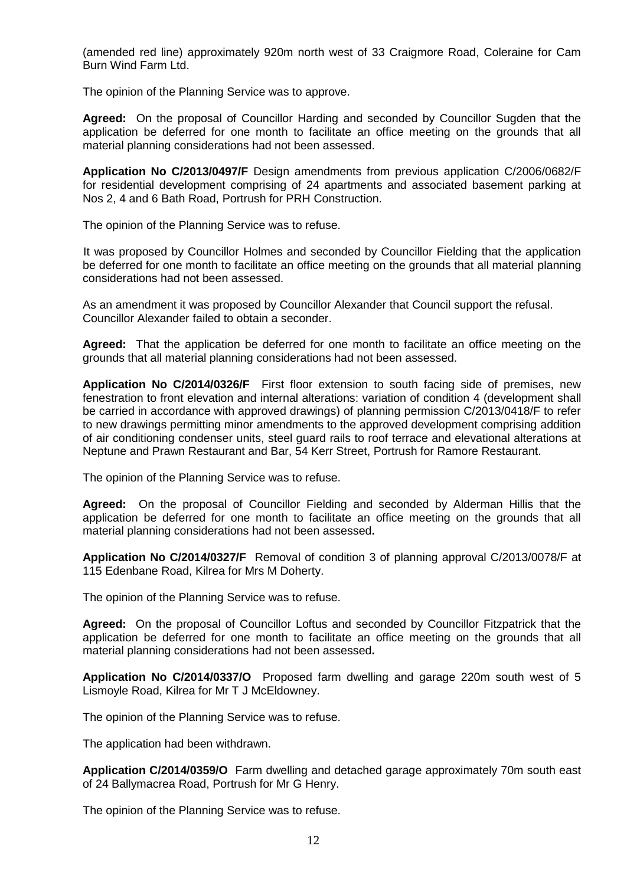(amended red line) approximately 920m north west of 33 Craigmore Road, Coleraine for Cam Burn Wind Farm Ltd.

The opinion of the Planning Service was to approve.

**Agreed:** On the proposal of Councillor Harding and seconded by Councillor Sugden that the application be deferred for one month to facilitate an office meeting on the grounds that all material planning considerations had not been assessed.

**Application No C/2013/0497/F** Design amendments from previous application C/2006/0682/F for residential development comprising of 24 apartments and associated basement parking at Nos 2, 4 and 6 Bath Road, Portrush for PRH Construction.

The opinion of the Planning Service was to refuse.

It was proposed by Councillor Holmes and seconded by Councillor Fielding that the application be deferred for one month to facilitate an office meeting on the grounds that all material planning considerations had not been assessed.

As an amendment it was proposed by Councillor Alexander that Council support the refusal. Councillor Alexander failed to obtain a seconder.

**Agreed:** That the application be deferred for one month to facilitate an office meeting on the grounds that all material planning considerations had not been assessed.

**Application No C/2014/0326/F** First floor extension to south facing side of premises, new fenestration to front elevation and internal alterations: variation of condition 4 (development shall be carried in accordance with approved drawings) of planning permission C/2013/0418/F to refer to new drawings permitting minor amendments to the approved development comprising addition of air conditioning condenser units, steel guard rails to roof terrace and elevational alterations at Neptune and Prawn Restaurant and Bar, 54 Kerr Street, Portrush for Ramore Restaurant.

The opinion of the Planning Service was to refuse.

**Agreed:** On the proposal of Councillor Fielding and seconded by Alderman Hillis that the application be deferred for one month to facilitate an office meeting on the grounds that all material planning considerations had not been assessed**.**

**Application No C/2014/0327/F** Removal of condition 3 of planning approval C/2013/0078/F at 115 Edenbane Road, Kilrea for Mrs M Doherty.

The opinion of the Planning Service was to refuse.

**Agreed:** On the proposal of Councillor Loftus and seconded by Councillor Fitzpatrick that the application be deferred for one month to facilitate an office meeting on the grounds that all material planning considerations had not been assessed**.**

**Application No C/2014/0337/O** Proposed farm dwelling and garage 220m south west of 5 Lismoyle Road, Kilrea for Mr T J McEldowney.

The opinion of the Planning Service was to refuse.

The application had been withdrawn.

**Application C/2014/0359/O** Farm dwelling and detached garage approximately 70m south east of 24 Ballymacrea Road, Portrush for Mr G Henry.

The opinion of the Planning Service was to refuse.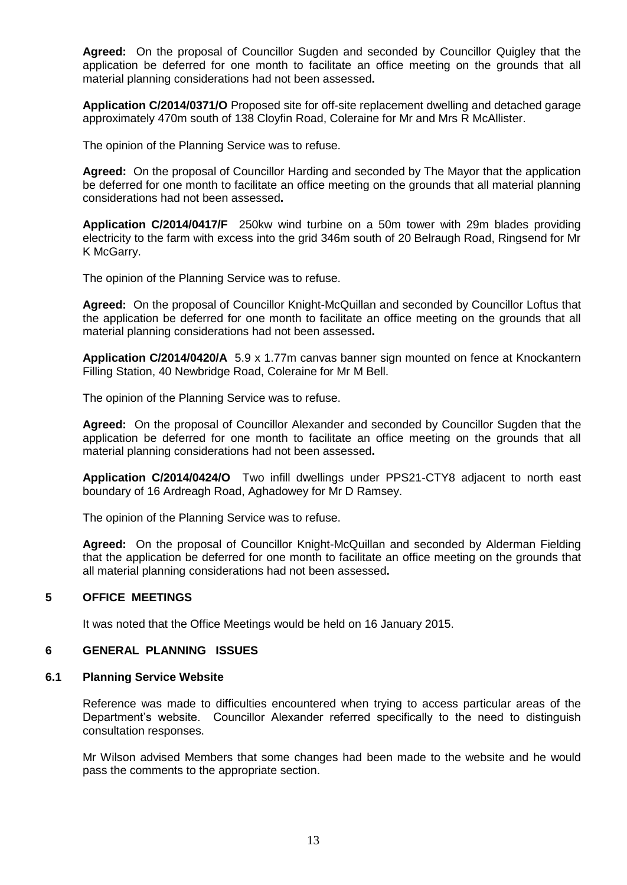**Agreed:** On the proposal of Councillor Sugden and seconded by Councillor Quigley that the application be deferred for one month to facilitate an office meeting on the grounds that all material planning considerations had not been assessed**.**

**Application C/2014/0371/O** Proposed site for off-site replacement dwelling and detached garage approximately 470m south of 138 Cloyfin Road, Coleraine for Mr and Mrs R McAllister.

The opinion of the Planning Service was to refuse.

**Agreed:** On the proposal of Councillor Harding and seconded by The Mayor that the application be deferred for one month to facilitate an office meeting on the grounds that all material planning considerations had not been assessed**.**

**Application C/2014/0417/F** 250kw wind turbine on a 50m tower with 29m blades providing electricity to the farm with excess into the grid 346m south of 20 Belraugh Road, Ringsend for Mr K McGarry.

The opinion of the Planning Service was to refuse.

**Agreed:** On the proposal of Councillor Knight-McQuillan and seconded by Councillor Loftus that the application be deferred for one month to facilitate an office meeting on the grounds that all material planning considerations had not been assessed**.**

**Application C/2014/0420/A** 5.9 x 1.77m canvas banner sign mounted on fence at Knockantern Filling Station, 40 Newbridge Road, Coleraine for Mr M Bell.

The opinion of the Planning Service was to refuse.

**Agreed:** On the proposal of Councillor Alexander and seconded by Councillor Sugden that the application be deferred for one month to facilitate an office meeting on the grounds that all material planning considerations had not been assessed**.**

**Application C/2014/0424/O** Two infill dwellings under PPS21-CTY8 adjacent to north east boundary of 16 Ardreagh Road, Aghadowey for Mr D Ramsey.

The opinion of the Planning Service was to refuse.

**Agreed:** On the proposal of Councillor Knight-McQuillan and seconded by Alderman Fielding that the application be deferred for one month to facilitate an office meeting on the grounds that all material planning considerations had not been assessed**.**

# **5 OFFICE MEETINGS**

It was noted that the Office Meetings would be held on 16 January 2015.

#### **6 GENERAL PLANNING ISSUES**

#### **6.1 Planning Service Website**

Reference was made to difficulties encountered when trying to access particular areas of the Department's website. Councillor Alexander referred specifically to the need to distinguish consultation responses.

Mr Wilson advised Members that some changes had been made to the website and he would pass the comments to the appropriate section.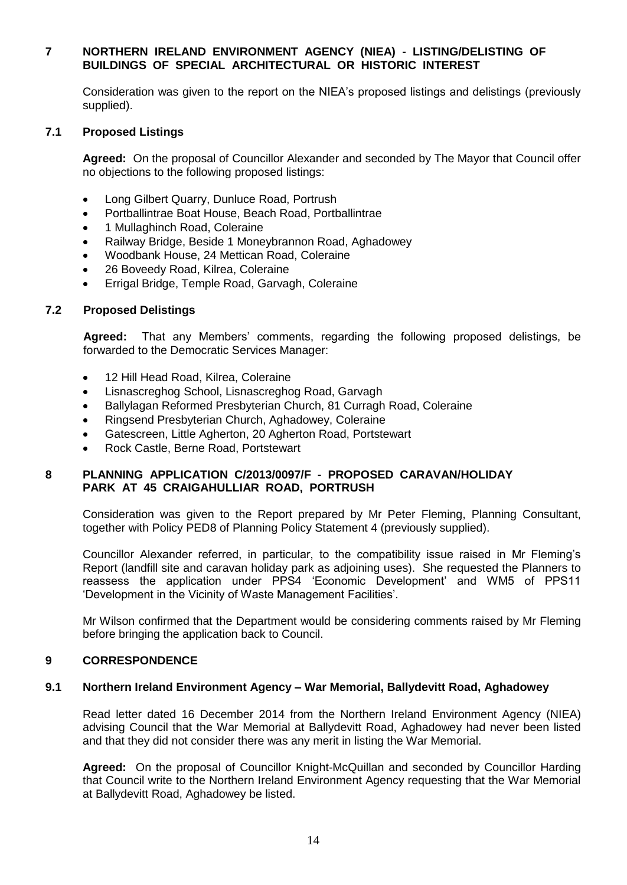# **7 NORTHERN IRELAND ENVIRONMENT AGENCY (NIEA) - LISTING/DELISTING OF BUILDINGS OF SPECIAL ARCHITECTURAL OR HISTORIC INTEREST**

Consideration was given to the report on the NIEA's proposed listings and delistings (previously supplied).

### **7.1 Proposed Listings**

**Agreed:** On the proposal of Councillor Alexander and seconded by The Mayor that Council offer no objections to the following proposed listings:

- Long Gilbert Quarry, Dunluce Road, Portrush
- Portballintrae Boat House, Beach Road, Portballintrae
- 1 Mullaghinch Road, Coleraine
- Railway Bridge, Beside 1 Moneybrannon Road, Aghadowey
- Woodbank House, 24 Mettican Road, Coleraine
- 26 Boveedy Road, Kilrea, Coleraine
- Errigal Bridge, Temple Road, Garvagh, Coleraine

#### **7.2 Proposed Delistings**

**Agreed:** That any Members' comments, regarding the following proposed delistings, be forwarded to the Democratic Services Manager:

- 12 Hill Head Road, Kilrea, Coleraine
- Lisnascreghog School, Lisnascreghog Road, Garvagh
- Ballylagan Reformed Presbyterian Church, 81 Curragh Road, Coleraine
- Ringsend Presbyterian Church, Aghadowey, Coleraine
- Gatescreen, Little Agherton, 20 Agherton Road, Portstewart
- Rock Castle, Berne Road, Portstewart

#### **8 PLANNING APPLICATION C/2013/0097/F - PROPOSED CARAVAN/HOLIDAY PARK AT 45 CRAIGAHULLIAR ROAD, PORTRUSH**

Consideration was given to the Report prepared by Mr Peter Fleming, Planning Consultant, together with Policy PED8 of Planning Policy Statement 4 (previously supplied).

Councillor Alexander referred, in particular, to the compatibility issue raised in Mr Fleming's Report (landfill site and caravan holiday park as adjoining uses). She requested the Planners to reassess the application under PPS4 'Economic Development' and WM5 of PPS11 'Development in the Vicinity of Waste Management Facilities'.

Mr Wilson confirmed that the Department would be considering comments raised by Mr Fleming before bringing the application back to Council.

#### **9 CORRESPONDENCE**

#### **9.1 Northern Ireland Environment Agency – War Memorial, Ballydevitt Road, Aghadowey**

Read letter dated 16 December 2014 from the Northern Ireland Environment Agency (NIEA) advising Council that the War Memorial at Ballydevitt Road, Aghadowey had never been listed and that they did not consider there was any merit in listing the War Memorial.

**Agreed:** On the proposal of Councillor Knight-McQuillan and seconded by Councillor Harding that Council write to the Northern Ireland Environment Agency requesting that the War Memorial at Ballydevitt Road, Aghadowey be listed.